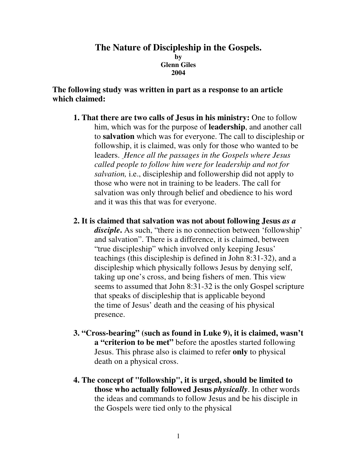#### **The Nature of Discipleship in the Gospels. by Glenn Giles 2004**

### **The following study was written in part as a response to an article which claimed:**

- **1. That there are two calls of Jesus in his ministry:** One to follow him, which was for the purpose of **leadership**, and another call to **salvation** which was for everyone. The call to discipleship or followship, it is claimed, was only for those who wanted to be leaders. *Hence all the passages in the Gospels where Jesus called people to follow him were for leadership and not for salvation,* i.e., discipleship and followership did not apply to those who were not in training to be leaders. The call for salvation was only through belief and obedience to his word and it was this that was for everyone.
- **2. It is claimed that salvation was not about following Jesus** *as a disciple***.** As such, "there is no connection between 'followship' and salvation". There is a difference, it is claimed, between "true discipleship" which involved only keeping Jesus' teachings (this discipleship is defined in John 8:31-32), and a discipleship which physically follows Jesus by denying self, taking up one's cross, and being fishers of men. This view seems to assumed that John 8:31-32 is the only Gospel scripture that speaks of discipleship that is applicable beyond the time of Jesus' death and the ceasing of his physical presence.
- **3. "Cross-bearing" (such as found in Luke 9), it is claimed, wasn't a "criterion to be met"** before the apostles started following Jesus. This phrase also is claimed to refer **only** to physical death on a physical cross.
- **4. The concept of "followship", it is urged, should be limited to those who actually followed Jesus** *physically*. In other words the ideas and commands to follow Jesus and be his disciple in the Gospels were tied only to the physical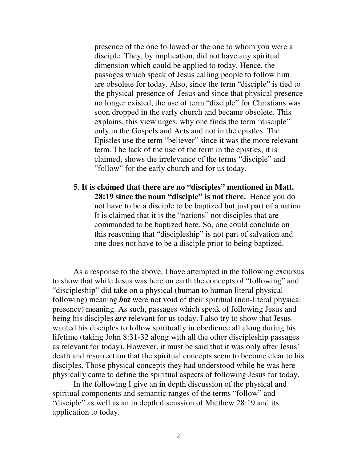presence of the one followed or the one to whom you were a disciple. They, by implication, did not have any spiritual dimension which could be applied to today. Hence, the passages which speak of Jesus calling people to follow him are obsolete for today. Also, since the term "disciple" is tied to the physical presence of Jesus and since that physical presence no longer existed, the use of term "disciple" for Christians was soon dropped in the early church and became obsolete. This explains, this view urges, why one finds the term "disciple" only in the Gospels and Acts and not in the epistles. The Epistles use the term "believer" since it was the more relevant term. The lack of the use of the term in the epistles, it is claimed, shows the irrelevance of the terms "disciple" and "follow" for the early church and for us today.

**5**. **It is claimed that there are no "disciples" mentioned in Matt. 28:19 since the noun "disciple" is not there.** Hence you do not have to be a disciple to be baptized but just part of a nation. It is claimed that it is the "nations" not disciples that are commanded to be baptized here. So, one could conclude on this reasoning that "discipleship" is not part of salvation and one does not have to be a disciple prior to being baptized.

As a response to the above, I have attempted in the following excursus to show that while Jesus was here on earth the concepts of "following" and "discipleship" did take on a physical (human to human literal physical following) meaning *but* were not void of their spiritual (non-literal physical presence) meaning. As such, passages which speak of following Jesus and being his disciples *are* relevant for us today. I also try to show that Jesus wanted his disciples to follow spiritually in obedience all along during his lifetime (taking John 8:31-32 along with all the other discipleship passages as relevant for today). However, it must be said that it was only after Jesus' death and resurrection that the spiritual concepts seem to become clear to his disciples. Those physical concepts they had understood while he was here physically came to define the spiritual aspects of following Jesus for today.

In the following I give an in depth discussion of the physical and spiritual components and semantic ranges of the terms "follow" and "disciple" as well as an in depth discussion of Matthew 28:19 and its application to today.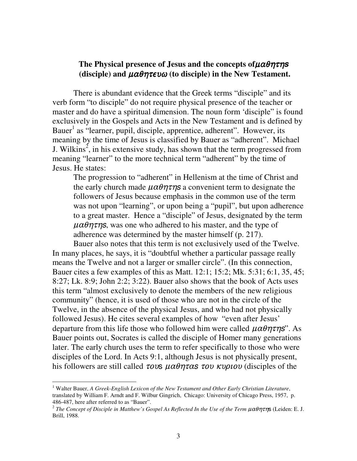# The Physical presence of Jesus and the concepts of $\mu$ αθητη $\bf s$  $($ disciple) and  $\mu\alpha\theta\eta\tau\epsilon\nu\omega$  (to disciple) in the New Testament.

There is abundant evidence that the Greek terms "disciple" and its verb form "to disciple" do not require physical presence of the teacher or master and do have a spiritual dimension. The noun form 'disciple" is found exclusively in the Gospels and Acts in the New Testament and is defined by Bauer<sup>1</sup> as "learner, pupil, disciple, apprentice, adherent". However, its meaning by the time of Jesus is classified by Bauer as "adherent". Michael J. Wilkins<sup>2</sup>, in his extensive study, has shown that the term progressed from meaning "learner" to the more technical term "adherent" by the time of Jesus. He states:

The progression to "adherent" in Hellenism at the time of Christ and the early church made  $\mu\alpha\theta\eta\tau\eta s$  a convenient term to designate the followers of Jesus because emphasis in the common use of the term was not upon "learning", or upon being a "pupil", but upon adherence to a great master. Hence a "disciple" of Jesus, designated by the term  $\mu\alpha\theta\eta\tau\eta$ s, was one who adhered to his master, and the type of adherence was determined by the master himself (p. 217).

Bauer also notes that this term is not exclusively used of the Twelve. In many places, he says, it is "doubtful whether a particular passage really means the Twelve and not a larger or smaller circle". (In this connection, Bauer cites a few examples of this as Matt. 12:1; 15:2; Mk. 5:31; 6:1, 35, 45; 8:27; Lk. 8:9; John 2:2; 3:22). Bauer also shows that the book of Acts uses this term "almost exclusively to denote the members of the new religious community" (hence, it is used of those who are not in the circle of the Twelve, in the absence of the physical Jesus, and who had not physically followed Jesus). He cites several examples of how "even after Jesus' departure from this life those who followed him were called  $\mu\alpha\theta\eta\tau\eta s$ ". As Bauer points out, Socrates is called the disciple of Homer many generations later. The early church uses the term to refer specifically to those who were disciples of the Lord. In Acts 9:1, although Jesus is not physically present, his followers are still called  $\tau$ *ovs*  $\mu \alpha \theta \eta \tau \alpha$ *s*  $\tau \omega \kappa \nu \rho \nu \omega$  (disciples of the

<sup>1</sup> Walter Bauer, *A Greek-English Lexicon of the New Testament and Other Early Christian Literature*, translated by William F. Arndt and F. Wilbur Gingrich, Chicago: University of Chicago Press, 1957, p. 486-487, here after referred to as "Bauer".

<sup>&</sup>lt;sup>2</sup> The Concept of Disciple in Matthew's Gospel As Reflected In the Use of the Term μαθητης (Leiden: E. J. Brill, 1988.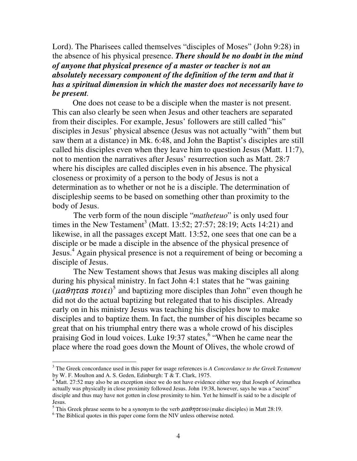Lord). The Pharisees called themselves "disciples of Moses" (John 9:28) in the absence of his physical presence. *There should be no doubt in the mind of anyone that physical presence of a master or teacher is not an absolutely necessary component of the definition of the term and that it has a spiritual dimension in which the master does not necessarily have to be present.*

One does not cease to be a disciple when the master is not present. This can also clearly be seen when Jesus and other teachers are separated from their disciples. For example, Jesus' followers are still called "his" disciples in Jesus' physical absence (Jesus was not actually "with" them but saw them at a distance) in Mk. 6:48, and John the Baptist's disciples are still called his disciples even when they leave him to question Jesus (Matt. 11:7), not to mention the narratives after Jesus' resurrection such as Matt. 28:7 where his disciples are called disciples even in his absence. The physical closeness or proximity of a person to the body of Jesus is not a determination as to whether or not he is a disciple. The determination of discipleship seems to be based on something other than proximity to the body of Jesus.

The verb form of the noun disciple "*matheteuo*" is only used four times in the New Testament<sup>3</sup> (Matt. 13:52; 27:57; 28:19; Acts 14:21) and likewise, in all the passages except Matt. 13:52, one sees that one can be a disciple or be made a disciple in the absence of the physical presence of Jesus. <sup>4</sup> Again physical presence is not a requirement of being or becoming a disciple of Jesus.

The New Testament shows that Jesus was making disciples all along during his physical ministry. In fact John 4:1 states that he "was gaining  $(\mu \alpha \theta \eta \tau \alpha s \pi o t \epsilon t)^5$  and baptizing more disciples than John" even though he did not do the actual baptizing but relegated that to his disciples. Already early on in his ministry Jesus was teaching his disciples how to make disciples and to baptize them. In fact, the number of his disciples became so great that on his triumphal entry there was a whole crowd of his disciples praising God in loud voices. Luke 19:37 states,<sup>6</sup> "When he came near the place where the road goes down the Mount of Olives, the whole crowd of

<sup>3</sup> The Greek concordance used in this paper for usage references is *A Concordance to the Greek Testament* by W. F. Moulton and A. S. Geden, Edinburgh: T & T. Clark, 1975.

 $4$  Matt. 27:52 may also be an exception since we do not have evidence either way that Joseph of Arimathea actually was physically in close proximity followed Jesus. John 19:38, however, says he was a "secret" disciple and thus may have not gotten in close proximity to him. Yet he himself is said to be a disciple of Jesus.

<sup>&</sup>lt;sup>5</sup> This Greek phrase seems to be a synonym to the verb  $\mu\alpha\theta\eta\tau\epsilon\upsilon\omega$  (make disciples) in Matt 28:19.

<sup>&</sup>lt;sup>6</sup> The Biblical quotes in this paper come form the NIV unless otherwise noted.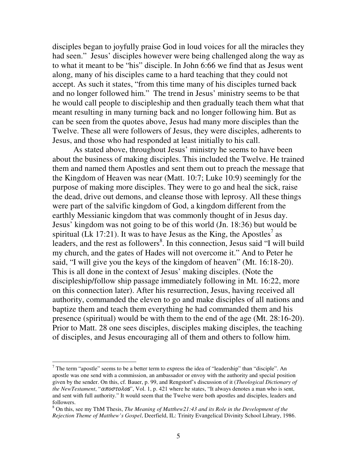disciples began to joyfully praise God in loud voices for all the miracles they had seen." Jesus' disciples however were being challenged along the way as to what it meant to be "his" disciple. In John 6:66 we find that as Jesus went along, many of his disciples came to a hard teaching that they could not accept. As such it states, "from this time many of his disciples turned back and no longer followed him." The trend in Jesus' ministry seems to be that he would call people to discipleship and then gradually teach them what that meant resulting in many turning back and no longer following him. But as can be seen from the quotes above, Jesus had many more disciples than the Twelve. These all were followers of Jesus, they were disciples, adherents to Jesus, and those who had responded at least initially to his call.

As stated above, throughout Jesus' ministry he seems to have been about the business of making disciples. This included the Twelve. He trained them and named them Apostles and sent them out to preach the message that the Kingdom of Heaven was near (Matt. 10:7; Luke 10:9) seemingly for the purpose of making more disciples. They were to go and heal the sick, raise the dead, drive out demons, and cleanse those with leprosy. All these things were part of the salvific kingdom of God, a kingdom different from the earthly Messianic kingdom that was commonly thought of in Jesus day. Jesus' kingdom was not going to be of this world (Jn. 18:36) but would be spiritual (Lk 17:21). It was to have Jesus as the King, the Apostles<sup>7</sup> as leaders, and the rest as followers<sup>8</sup>. In this connection, Jesus said "I will build my church, and the gates of Hades will not overcome it." And to Peter he said, "I will give you the keys of the kingdom of heaven" (Mt. 16:18-20). This is all done in the context of Jesus' making disciples. (Note the discipleship/follow ship passage immediately following in Mt. 16:22, more on this connection later). After his resurrection, Jesus, having received all authority, commanded the eleven to go and make disciples of all nations and baptize them and teach them everything he had commanded them and his presence (spiritual) would be with them to the end of the age (Mt. 28:16-20). Prior to Matt. 28 one sees disciples, disciples making disciples, the teaching of disciples, and Jesus encouraging all of them and others to follow him.

 $<sup>7</sup>$  The term "apostle" seems to be a better term to express the idea of "leadership" than "disciple". An</sup> apostle was one send with a commission, an ambassador or envoy with the authority and special position given by the sender. On this, cf. Bauer, p. 99, and Rengstorf's discussion of it (*Theological Dictionary of the NewTestament*, " $\alpha \pi$ *o* $\sigma \tau$ *o* $\lambda$ *os*", Vol. 1, p. 421 where he states, "It always denotes a man who is sent, and sent with full authority." It would seem that the Twelve were both apostles and disciples, leaders and followers.

<sup>8</sup> On this, see my ThM Thesis, *The Meaning of Matthew21:43 and its Role in the Development of the Rejection Theme of Matthew's Gospel*, Deerfield, IL: Trinity Evangelical Divinity School Library, 1986.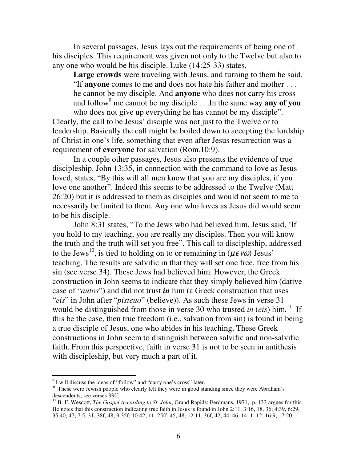In several passages, Jesus lays out the requirements of being one of his disciples. This requirement was given not only to the Twelve but also to any one who would be his disciple. Luke (14:25-33) states,

**Large crowds** were traveling with Jesus, and turning to them he said, "If **anyone** comes to me and does not hate his father and mother . . . he cannot be my disciple. And **anyone** who does not carry his cross and follow <sup>9</sup> me cannot be my disciple . . .In the same way **any of you** who does not give up everything he has cannot be my disciple".

Clearly, the call to be Jesus' disciple was not just to the Twelve or to leadership. Basically the call might be boiled down to accepting the lordship of Christ in one's life, something that even after Jesus resurrection was a requirement of **everyone** for salvation (Rom.10:9).

In a couple other passages, Jesus also presents the evidence of true discipleship. John 13:35, in connection with the command to love as Jesus loved, states, "By this will all men know that you are my disciples, if you love one another". Indeed this seems to be addressed to the Twelve (Matt 26:20) but it is addressed to them as disciples and would not seem to me to necessarily be limited to them. Any one who loves as Jesus did would seem to be his disciple.

John 8:31 states, "To the Jews who had believed him, Jesus said, 'If you hold to my teaching, you are really my disciples. Then you will know the truth and the truth will set you free". This call to discipleship, addressed to the Jews<sup>10</sup>, is tied to holding on to or remaining in ( $\mu \epsilon \nu \omega$ ) Jesus' teaching. The results are salvific in that they will set one free, free from his sin (see verse 34). These Jews had believed him. However, the Greek construction in John seems to indicate that they simply believed him (dative case of "*autos*") and did not trust *in* him (a Greek construction that uses "*eis*" in John after "*pisteuo*" (believe)). As such these Jews in verse 31 would be distinguished from those in verse 30 who trusted *in* (*eis*) him.<sup>11</sup> If this be the case, then true freedom (i.e., salvation from sin) is found in being a true disciple of Jesus, one who abides in his teaching. These Greek constructions in John seem to distinguish between salvific and non-salvific faith. From this perspective, faith in verse 31 is not to be seen in antithesis with discipleship, but very much a part of it.

<sup>&</sup>lt;sup>9</sup> I will discuss the ideas of "follow" and "carry one's cross" later.

<sup>&</sup>lt;sup>10</sup> These were Jewish people who clearly felt they were in good standing since they were Abraham's descendents, see verses 33ff.

<sup>11</sup> B. F. Wescott, *The Gospel According to St. John*, Grand Rapids: Eerdmans, 1971, p. 133 argues for this. He notes that this construction indicating true faith in Jesus is found in John 2:11, 3:16, 18, 36; 4:39, 6:29, 35,40, 47; 7:5, 31, 38f, 48; 9:35f; 10:42; 11: 25ff, 45, 48; 12:11, 36f, 42, 44, 46; 14: 1; 12; 16:9; 17:20.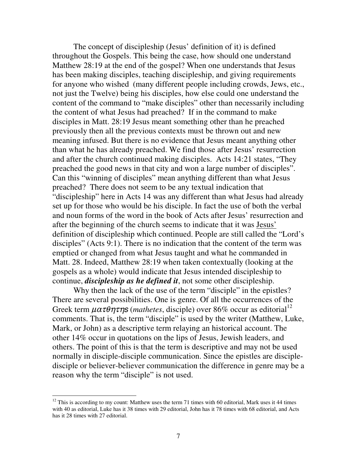The concept of discipleship (Jesus' definition of it) is defined throughout the Gospels. This being the case, how should one understand Matthew 28:19 at the end of the gospel? When one understands that Jesus has been making disciples, teaching discipleship, and giving requirements for anyone who wished (many different people including crowds, Jews, etc., not just the Twelve) being his disciples, how else could one understand the content of the command to "make disciples" other than necessarily including the content of what Jesus had preached? If in the command to make disciples in Matt. 28:19 Jesus meant something other than he preached previously then all the previous contexts must be thrown out and new meaning infused. But there is no evidence that Jesus meant anything other than what he has already preached. We find those after Jesus' resurrection and after the church continued making disciples. Acts 14:21 states, "They preached the good news in that city and won a large number of disciples". Can this "winning of disciples" mean anything different than what Jesus preached? There does not seem to be any textual indication that "discipleship" here in Acts 14 was any different than what Jesus had already set up for those who would be his disciple. In fact the use of both the verbal and noun forms of the word in the book of Acts after Jesus' resurrection and after the beginning of the church seems to indicate that it was Jesus' definition of discipleship which continued. People are still called the "Lord's disciples" (Acts 9:1). There is no indication that the content of the term was emptied or changed from what Jesus taught and what he commanded in Matt. 28. Indeed, Matthew 28:19 when taken contextually (looking at the gospels as a whole) would indicate that Jesus intended discipleship to continue, *discipleship as he defined it*, not some other discipleship.

Why then the lack of the use of the term "disciple" in the epistles? There are several possibilities. One is genre. Of all the occurrences of the Greek term  $\mu \alpha \tau \theta \eta \tau \eta s$  (*mathetes*, disciple) over 86% occur as editorial<sup>12</sup> comments. That is, the term "disciple" is used by the writer (Matthew, Luke, Mark, or John) as a descriptive term relaying an historical account. The other 14% occur in quotations on the lips of Jesus, Jewish leaders, and others. The point of this is that the term is descriptive and may not be used normally in disciple-disciple communication. Since the epistles are discipledisciple or believer-believer communication the difference in genre may be a reason why the term "disciple" is not used.

 $12$  This is according to my count: Matthew uses the term 71 times with 60 editorial, Mark uses it 44 times with 40 as editorial, Luke has it 38 times with 29 editorial, John has it 78 times with 68 editorial, and Acts has it 28 times with 27 editorial.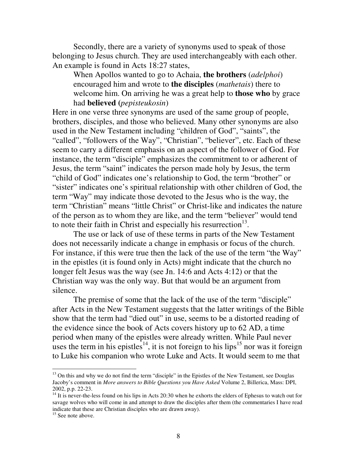Secondly, there are a variety of synonyms used to speak of those belonging to Jesus church. They are used interchangeably with each other. An example is found in Acts 18:27 states,

When Apollos wanted to go to Achaia, **the brothers** (*adelphoi*) encouraged him and wrote to **the disciples** (*mathetais*) there to welcome him. On arriving he was a great help to **those who** by grace had **believed (***pepisteukosin*)

Here in one verse three synonyms are used of the same group of people, brothers, disciples, and those who believed. Many other synonyms are also used in the New Testament including "children of God", "saints", the "called", "followers of the Way", "Christian", "believer", etc. Each of these seem to carry a different emphasis on an aspect of the follower of God. For instance, the term "disciple" emphasizes the commitment to or adherent of Jesus, the term "saint" indicates the person made holy by Jesus, the term "child of God" indicates one's relationship to God, the term "brother" or "sister" indicates one's spiritual relationship with other children of God, the term "Way" may indicate those devoted to the Jesus who is the way, the term "Christian" means "little Christ" or Christ-like and indicates the nature of the person as to whom they are like, and the term "believer" would tend to note their faith in Christ and especially his resurrection $^{13}$ .

The use or lack of use of these terms in parts of the New Testament does not necessarily indicate a change in emphasis or focus of the church. For instance, if this were true then the lack of the use of the term "the Way" in the epistles (it is found only in Acts) might indicate that the church no longer felt Jesus was the way (see Jn. 14:6 and Acts 4:12) or that the Christian way was the only way. But that would be an argument from silence.

The premise of some that the lack of the use of the term "disciple" after Acts in the New Testament suggests that the latter writings of the Bible show that the term had "died out" in use, seems to be a distorted reading of the evidence since the book of Acts covers history up to 62 AD, a time period when many of the epistles were already written. While Paul never uses the term in his epistles<sup>14</sup>, it is not foreign to his lips<sup>15</sup> nor was it foreign to Luke his companion who wrote Luke and Acts. It would seem to me that

<sup>&</sup>lt;sup>13</sup> On this and why we do not find the term "disciple" in the Epistles of the New Testament, see Douglas Jacoby's comment in *More answers to Bible Questions you Have Asked* Volume 2, Billerica, Mass: DPI, 2002, p.p. 22-23.

<sup>&</sup>lt;sup>14</sup> It is never-the-less found on his lips in Acts 20:30 when he exhorts the elders of Ephesus to watch out for savage wolves who will come in and attempt to draw the disciples after them (the commentaries I have read indicate that these are Christian disciples who are drawn away).

<sup>&</sup>lt;sup>15</sup> See note above.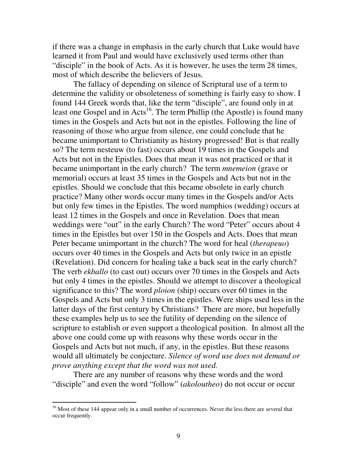if there was a change in emphasis in the early church that Luke would have learned it from Paul and would have exclusively used terms other than "disciple" in the book of Acts. As it is however, he uses the term 28 times, most of which describe the believers of Jesus.

The fallacy of depending on silence of Scriptural use of a term to determine the validity or obsoleteness of something is fairly easy to show. I found 144 Greek words that, like the term "disciple", are found only in at least one Gospel and in Acts<sup>16</sup>. The term Phillip (the Apostle) is found many times in the Gospels and Acts but not in the epistles. Following the line of reasoning of those who argue from silence, one could conclude that he became unimportant to Christianity as history progressed! But is that really so? The term nesteuw (to fast) occurs about 19 times in the Gospels and Acts but not in the Epistles. Does that mean it was not practiced or that it became unimportant in the early church? The term *mnemeion* (grave or memorial) occurs at least 35 times in the Gospels and Acts but not in the epistles. Should we conclude that this became obsolete in early church practice? Many other words occur many times in the Gospels and/or Acts but only few times in the Epistles. The word numphios (wedding) occurs at least 12 times in the Gospels and once in Revelation. Does that mean weddings were "out" in the early Church? The word "Peter" occurs about 4 times in the Epistles but over 150 in the Gospels and Acts. Does that mean Peter became unimportant in the church? The word for heal (*therapeuo*) occurs over 40 times in the Gospels and Acts but only twice in an epistle (Revelation). Did concern for healing take a back seat in the early church? The verb *ekballo* (to cast out) occurs over 70 times in the Gospels and Acts but only 4 times in the epistles. Should we attempt to discover a theological significance to this? The word *ploion* (ship) occurs over 60 times in the Gospels and Acts but only 3 times in the epistles. Were ships used less in the latter days of the first century by Christians? There are more, but hopefully these examples help us to see the futility of depending on the silence of scripture to establish or even support a theological position. In almost all the above one could come up with reasons why these words occur in the Gospels and Acts but not much, if any, in the epistles. But these reasons would all ultimately be conjecture. *Silence of word use does not demand or prove anything except that the word was not used.*

There are any number of reasons why these words and the word "disciple" and even the word "follow" (*akoloutheo*) do not occur or occur

<sup>&</sup>lt;sup>16</sup> Most of these 144 appear only in a small number of occurrences. Never the less there are several that occur frequently.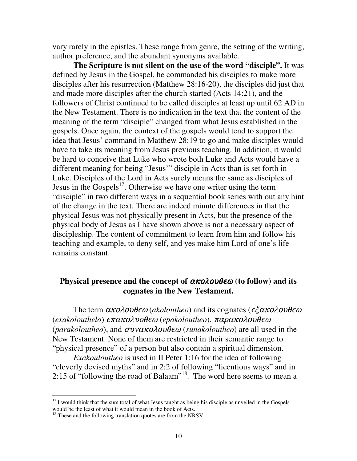vary rarely in the epistles. These range from genre, the setting of the writing, author preference, and the abundant synonyms available.

**The Scripture is not silent on the use of the word "disciple".** It was defined by Jesus in the Gospel, he commanded his disciples to make more disciples after his resurrection (Matthew 28:16-20), the disciples did just that and made more disciples after the church started (Acts 14:21), and the followers of Christ continued to be called disciples at least up until 62 AD in the New Testament. There is no indication in the text that the content of the meaning of the term "disciple" changed from what Jesus established in the gospels. Once again, the context of the gospels would tend to support the idea that Jesus' command in Matthew 28:19 to go and make disciples would have to take its meaning from Jesus previous teaching. In addition, it would be hard to conceive that Luke who wrote both Luke and Acts would have a different meaning for being "Jesus'" disciple in Acts than is set forth in Luke. Disciples of the Lord in Acts surely means the same as disciples of Jesus in the Gospels<sup>17</sup>. Otherwise we have one writer using the term "disciple" in two different ways in a sequential book series with out any hint of the change in the text. There are indeed minute differences in that the physical Jesus was not physically present in Acts, but the presence of the physical body of Jesus as I have shown above is not a necessary aspect of discipleship. The content of commitment to learn from him and follow his teaching and example, to deny self, and yes make him Lord of one's life remains constant.

# **Physical presence and the concept of**  $\alpha \kappa$ *o* $\lambda$ *ov* $\theta \epsilon \omega$  **(to follow) and its cognates in the New Testament.**

The term  $\alpha \kappa$ *o* $\lambda$ *o* $\nu \theta \epsilon \omega$  (*akoloutheo*) and its cognates ( $\epsilon \xi \alpha \kappa$ *o* $\lambda$ *o* $\nu \theta \epsilon \omega$ (exakolouthelo) **επακολυοθεω** (epakoloutheo), παρακολουθεα (*parakoloutheo*), and  $\sigma$ vvako $\lambda$ ov $\theta \epsilon \omega$  (*sunakoloutheo*) are all used in the New Testament. None of them are restricted in their semantic range to "physical presence" of a person but also contain a spiritual dimension.

*Exakouloutheo* is used in II Peter 1:16 for the idea of following "cleverly devised myths" and in 2:2 of following "licentious ways" and in 2:15 of "following the road of Balaam" 18 . The word here seems to mean a

<sup>&</sup>lt;sup>17</sup> I would think that the sum total of what Jesus taught as being his disciple as unveiled in the Gospels would be the least of what it would mean in the book of Acts.

<sup>&</sup>lt;sup>18</sup> These and the following translation quotes are from the NRSV.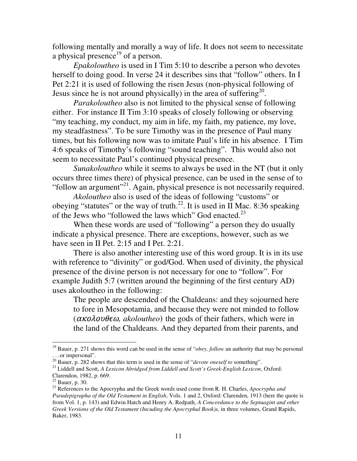following mentally and morally a way of life. It does not seem to necessitate a physical presence<sup>19</sup> of a person.

*Epakoloutheo* is used in I Tim 5:10 to describe a person who devotes herself to doing good. In verse 24 it describes sins that "follow" others. In I Pet 2:21 it is used of following the risen Jesus (non-physical following of Jesus since he is not around physically) in the area of suffering<sup>20</sup>.

*Parakoloutheo* also is not limited to the physical sense of following either. For instance II Tim 3:10 speaks of closely following or observing "my teaching, my conduct, my aim in life, my faith, my patience, my love, my steadfastness". To be sure Timothy was in the presence of Paul many times, but his following now was to imitate Paul's life in his absence. I Tim 4:6 speaks of Timothy's following "sound teaching". This would also not seem to necessitate Paul's continued physical presence.

*Sunakoloutheo* while it seems to always be used in the NT (but it only occurs three times there) of physical presence, can be used in the sense of to "follow an argument"<sup>21</sup>. Again, physical presence is not necessarily required.

*Akoloutheo* also is used of the ideas of following "customs" or obeying "statutes" or the way of truth.<sup>22</sup>. It is used in II Mac. 8:36 speaking of the Jews who "followed the laws which" God enacted.<sup>23</sup>

When these words are used of "following" a person they do usually indicate a physical presence. There are exceptions, however, such as we have seen in II Pet. 2:15 and I Pet. 2:21.

There is also another interesting use of this word group. It is in its use with reference to "divinity" or god/God. When used of divinity, the physical presence of the divine person is not necessary for one to "follow". For example Judith 5:7 (written around the beginning of the first century AD) uses akoloutheo in the following:

The people are descended of the Chaldeans: and they sojourned here to fore in Mesopotamia, and because they were not minded to follow  $(\alpha \kappa o \lambda o v \theta \epsilon \omega$ , akoloutheo) the gods of their fathers, which were in the land of the Chaldeans. And they departed from their parents, and

<sup>19</sup> Bauer, p. 271 shows this word can be used in the sense of "*obey, follow* an authority that may be personal . . .or impersonal"*.*

<sup>20</sup> Bauer, p. 282 shows that this term is used in the sense of "*devote oneself to* something".

<sup>21</sup> Liddell and Scott, *A Lexicon Abridged from Liddell and Scott's Greek-English Lexicon*, Oxford: Clarendon, 1982, p. 669.

 $22$  Bauer, p. 30.

<sup>23</sup> References to the Apocrypha and the Greek words used come from R. H. Charles, *Apocrypha and Pseudepigrapha of the Old Testament in English*, Vols. 1 and 2, Oxford: Clarenden, 1913 (here the quote is from Vol. 1, p. 143) and Edwin Hatch and Henry A. Redpath, *A Concordance to the Septuagint and other Greek Versions of the Old Testament (Incuding the Apocryphal Book)s,* in three volumes, Grand Rapids, Baker, 1983.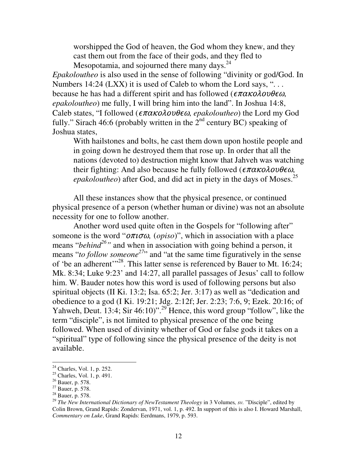worshipped the God of heaven, the God whom they knew, and they cast them out from the face of their gods, and they fled to Mesopotamia, and sojourned there many days.<sup>24</sup>

*Epakoloutheo* is also used in the sense of following "divinity or god/God. In Numbers 14:24 (LXX) it is used of Caleb to whom the Lord says, " $\dots$ because he has had a different spirit and has followed ( $\epsilon \pi \alpha \kappa$ o $\lambda$ ov $\theta \epsilon \omega$ , *epakoloutheo*) me fully, I will bring him into the land". In Joshua 14:8, Caleb states, "I followed ( $\epsilon \pi \alpha \kappa$ o $\lambda$ ov $\theta \epsilon \omega$ , epakoloutheo) the Lord my God fully." Sirach 46:6 (probably written in the  $2^{nd}$  century BC) speaking of Joshua states,

With hailstones and bolts, he cast them down upon hostile people and in going down he destroyed them that rose up. In order that all the nations (devoted to) destruction might know that Jahveh was watching their fighting: And also because he fully followed ( $\epsilon \pi \alpha \kappa$ o $\lambda$ ov $\theta \epsilon \omega$ , *epakoloutheo*) after God, and did act in piety in the days of Moses. 25

All these instances show that the physical presence, or continued physical presence of a person (whether human or divine) was not an absolute necessity for one to follow another.

Another word used quite often in the Gospels for "following after" someone is the word " $\sigma \pi \sigma \omega$ , (*opiso*)", which in association with a place means "*behind*<sup>26</sup>" and when in association with going behind a person, it means "*to follow someone*<sup>27</sup>" and "at the same time figuratively in the sense of 'be an adherent'"<sup>28</sup>. This latter sense is referenced by Bauer to Mt. 16:24; Mk. 8:34; Luke 9:23' and 14:27, all parallel passages of Jesus' call to follow him. W. Bauder notes how this word is used of following persons but also spiritual objects (II Ki. 13:2; Isa. 65:2; Jer. 3:17) as well as "dedication and obedience to a god (I Ki. 19:21; Jdg. 2:12f; Jer. 2:23; 7:6, 9; Ezek. 20:16; of Yahweh, Deut. 13:4; Sir 46:10)".<sup>29</sup> Hence, this word group "follow", like the term "disciple", is not limited to physical presence of the one being followed. When used of divinity whether of God or false gods it takes on a "spiritual" type of following since the physical presence of the deity is not available.

 $24$  Charles, Vol. 1, p. 252.

 $25$  Charles, Vol. 1, p. 491.

 $26$  Bauer, p. 578.

 $27$  Bauer, p. 578.

 $28$  Bauer, p. 578.

<sup>29</sup> *The New International Dictionary of NewTestament Theology* in 3 Volumes*, sv.* "Disciple", edited by Colin Brown, Grand Rapids: Zondervan, 1971, vol. 1, p. 492. In support of this is also I. Howard Marshall, *Commentary on Luke*, Grand Rapids: Eerdmans, 1979, p. 593.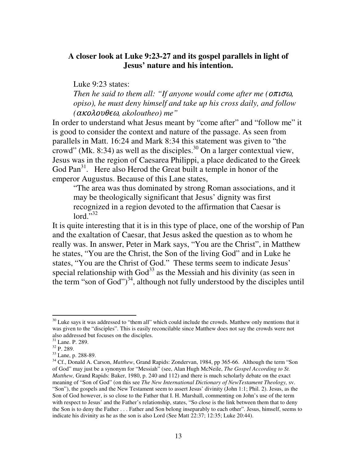## **A closer look at Luke 9:23-27 and its gospel parallels in light of Jesus' nature and his intention.**

Luke 9:23 states: *Then he said to them all: "If anyone would come after me ( opiso), he must deny himself and take up his cross daily, and follow (*- *, akoloutheo) me"*

In order to understand what Jesus meant by "come after" and "follow me" it is good to consider the context and nature of the passage. As seen from parallels in Matt. 16:24 and Mark 8:34 this statement was given to "the crowd" (Mk. 8:34) as well as the disciples.<sup>30</sup> On a larger contextual view, Jesus was in the region of Caesarea Philippi, a place dedicated to the Greek God Pan<sup>31</sup>. Here also Herod the Great built a temple in honor of the emperor Augustus. Because of this Lane states,

"The area was thus dominated by strong Roman associations, and it may be theologically significant that Jesus' dignity was first recognized in a region devoted to the affirmation that Caesar is  $\text{lord.}^{5,32}$ 

It is quite interesting that it is in this type of place, one of the worship of Pan and the exaltation of Caesar, that Jesus asked the question as to whom he really was. In answer, Peter in Mark says, "You are the Christ", in Matthew he states, "You are the Christ, the Son of the living God" and in Luke he states, "You are the Christ of God." These terms seem to indicate Jesus' special relationship with  $God^{33}$  as the Messiah and his divinity (as seen in the term "son of  $God$ ")<sup>34</sup>, although not fully understood by the disciples until

 $30$  Luke says it was addressed to "them all" which could include the crowds. Matthew only mentions that it was given to the "disciples". This is easily reconcilable since Matthew does not say the crowds were not also addressed but focuses on the disciples.

<sup>31</sup> Lane. P. 289.

 $32$  P. 289.

<sup>33</sup> Lane, p. 288-89.

<sup>&</sup>lt;sup>34</sup> Cf., Donald A. Carson, *Matthew*, Grand Rapids: Zondervan, 1984, pp 365-66. Although the term "Son of God" may just be a synonym for "Messiah" (see, Alan Hugh McNeile, *The Gospel According to St. Matthew,* Grand Rapids: Baker, 1980, p. 240 and 112) and there is much scholarly debate on the exact meaning of "Son of God" (on this see *The New International Dictionary of NewTestament Theology,* sv. "Son"), the gospels and the New Testament seem to assert Jesus' divinity (John 1:1; Phil. 2). Jesus, as the Son of God however, is so close to the Father that I. H. Marshall, commenting on John's use of the term with respect to Jesus' and the Father's relationship, states, "So close is the link between them that to deny the Son is to deny the Father . . . Father and Son belong inseparably to each other". Jesus, himself, seems to indicate his divinity as he as the son is also Lord (See Matt 22:37; 12:35; Luke 20:44).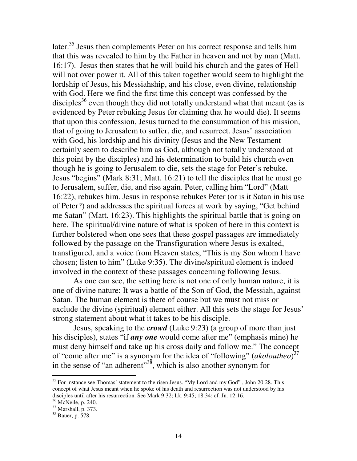later.<sup>35</sup> Jesus then complements Peter on his correct response and tells him that this was revealed to him by the Father in heaven and not by man (Matt. 16:17). Jesus then states that he will build his church and the gates of Hell will not over power it. All of this taken together would seem to highlight the lordship of Jesus, his Messiahship, and his close, even divine, relationship with God. Here we find the first time this concept was confessed by the disciples<sup>36</sup> even though they did not totally understand what that meant (as is evidenced by Peter rebuking Jesus for claiming that he would die). It seems that upon this confession, Jesus turned to the consummation of his mission, that of going to Jerusalem to suffer, die, and resurrect. Jesus' association with God, his lordship and his divinity (Jesus and the New Testament certainly seem to describe him as God, although not totally understood at this point by the disciples) and his determination to build his church even though he is going to Jerusalem to die, sets the stage for Peter's rebuke. Jesus "begins" (Mark 8:31; Matt. 16:21) to tell the disciples that he must go to Jerusalem, suffer, die, and rise again. Peter, calling him "Lord" (Matt 16:22), rebukes him. Jesus in response rebukes Peter (or is it Satan in his use of Peter?) and addresses the spiritual forces at work by saying, "Get behind me Satan" (Matt. 16:23). This highlights the spiritual battle that is going on here. The spiritual/divine nature of what is spoken of here in this context is further bolstered when one sees that these gospel passages are immediately followed by the passage on the Transfiguration where Jesus is exalted, transfigured, and a voice from Heaven states, "This is my Son whom I have chosen; listen to him" (Luke 9:35). The divine/spiritual element is indeed involved in the context of these passages concerning following Jesus.

As one can see, the setting here is not one of only human nature, it is one of divine nature: It was a battle of the Son of God, the Messiah, against Satan. The human element is there of course but we must not miss or exclude the divine (spiritual) element either. All this sets the stage for Jesus' strong statement about what it takes to be his disciple.

Jesus, speaking to the *crowd* (Luke 9:23) (a group of more than just his disciples), states "if *any one* would come after me" (emphasis mine) he must deny himself and take up his cross daily and follow me." The concept of "come after me" is a synonym for the idea of "following" (*akoloutheo*) 37 in the sense of "an adherent"<sup>38</sup>, which is also another synonym for

<sup>&</sup>lt;sup>35</sup> For instance see Thomas' statement to the risen Jesus. "My Lord and my God", John 20:28. This concept of what Jesus meant when he spoke of his death and resurrection was not understood by his disciples until after his resurrection. See Mark 9:32; Lk. 9:45; 18:34; cf. Jn. 12:16.

<sup>36</sup> McNeile, p. 240.

<sup>37</sup> Marshall, p. 373.

 $38$  Bauer, p.  $578$ .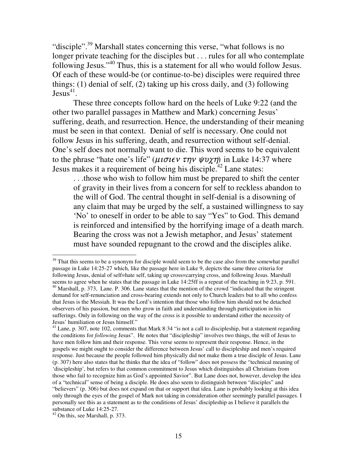"disciple".<sup>39</sup> Marshall states concerning this verse, "what follows is no longer private teaching for the disciples but . . . rules for all who contemplate following Jesus."<sup>40</sup> Thus, this is a statement for all who would follow Jesus. Of each of these would-be (or continue-to-be) disciples were required three things: (1) denial of self, (2) taking up his cross daily, and (3) following  $Jesus<sup>41</sup>$ .

These three concepts follow hard on the heels of Luke 9:22 (and the other two parallel passages in Matthew and Mark) concerning Jesus' suffering, death, and resurrection. Hence, the understanding of their meaning must be seen in that context. Denial of self is necessary. One could not follow Jesus in his suffering, death, and resurrection without self-denial. One's self does not normally want to die. This word seems to be equivalent to the phrase "hate one's life" ( $\mu \nu \sigma \nu \epsilon \nu \tau \eta \nu \psi \nu \chi \eta$ ) in Luke 14:37 where Jesus makes it a requirement of being his disciple.<sup>42</sup> Lane states:

. . .those who wish to follow him must be prepared to shift the center of gravity in their lives from a concern for self to reckless abandon to the will of God. The central thought in self-denial is a disowning of any claim that may be urged by the self, a sustained willingness to say 'No' to oneself in order to be able to say "Yes" to God. This demand is reinforced and intensified by the horrifying image of a death march. Bearing the cross was not a Jewish metaphor, and Jesus' statement must have sounded repugnant to the crowd and the disciples alike.

 $39$  That this seems to be a synonym for disciple would seem to be the case also from the somewhat parallel passage in Luke 14:25-27 which, like the passage here in Luke 9, depicts the same three criteria for following Jesus, denial of self=hate self, taking up cross=carrying cross, and following Jesus. Marshall seems to agree when he states that the passage in Luke 14:25ff is a repeat of the teaching in 9:23, p. 591. <sup>40</sup> Marshall, p. 373, Lane. P. 306. Lane states that the mention of the crowd "indicated that the stringent demand for self-renunciation and cross-bearing extends not only to Church leaders but to all who confess that Jesus is the Messiah. It was the Lord's intention that those who follow him should not be detached observers of his passion, but men who grow in faith and understanding through participation in his sufferings. Only in following on the way of the cross is it possible to understand either the necessity of Jesus' humiliation or Jesus himself."

<sup>&</sup>lt;sup>41</sup> Lane, p. 307, note 102, comments that Mark 8:34 "is not a call to discipleship, but a statement regarding the conditions for *following* Jesus". He notes that "discipleship" involves two things, the will of Jesus to have men follow him and their response. This verse seems to represent their response. Hence, in the gospels we might ought to consider the difference between Jesus' call to discipleship and men's required response. Just because the people followed him physically did not make them a true disciple of Jesus. Lane (p. 307) here also states that he thinks that the idea of "follow" does not possess the "technical meaning of 'discipleship', but refers to that common commitment to Jesus which distinguishes all Christians from those who fail to recognize him as God's appointed Savior". But Lane does not, however, develop the idea of a "technical" sense of being a disciple. He does also seem to distinguish between "disciples" and "believers" (p. 306) but does not expand on that or support that idea. Lane is probably looking at this idea only through the eyes of the gospel of Mark not taking in consideration other seemingly parallel passages. I personally see this as a statement as to the conditions of Jesus' discipleship as I believe it parallels the substance of Luke 14:25-27.

 $42$  On this, see Marshall, p. 373.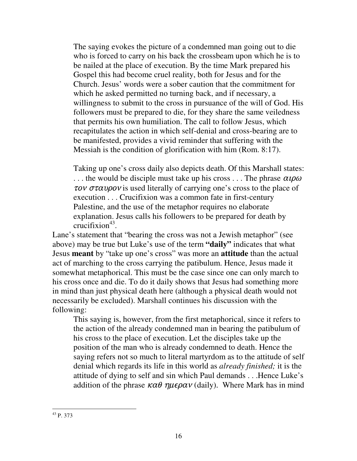The saying evokes the picture of a condemned man going out to die who is forced to carry on his back the crossbeam upon which he is to be nailed at the place of execution. By the time Mark prepared his Gospel this had become cruel reality, both for Jesus and for the Church. Jesus' words were a sober caution that the commitment for which he asked permitted no turning back, and if necessary, a willingness to submit to the cross in pursuance of the will of God. His followers must be prepared to die, for they share the same veiledness that permits his own humiliation. The call to follow Jesus, which recapitulates the action in which self-denial and cross-bearing are to be manifested, provides a vivid reminder that suffering with the Messiah is the condition of glorification with him (Rom. 8:17).

Taking up one's cross daily also depicts death. Of this Marshall states: ... the would be disciple must take up his cross ... The phrase  $\alpha \iota \rho \alpha$  $\tau$ ov  $\sigma$  $\tau$ av $\rho$ ov is used literally of carrying one's cross to the place of execution . . . Crucifixion was a common fate in first-century Palestine, and the use of the metaphor requires no elaborate explanation. Jesus calls his followers to be prepared for death by crucifixion 43 .

Lane's statement that "bearing the cross was not a Jewish metaphor" (see above) may be true but Luke's use of the term **"daily"** indicates that what Jesus **meant** by "take up one's cross" was more an **attitude** than the actual act of marching to the cross carrying the patibulum. Hence, Jesus made it somewhat metaphorical. This must be the case since one can only march to his cross once and die. To do it daily shows that Jesus had something more in mind than just physical death here (although a physical death would not necessarily be excluded). Marshall continues his discussion with the following:

This saying is, however, from the first metaphorical, since it refers to the action of the already condemned man in bearing the patibulum of his cross to the place of execution. Let the disciples take up the position of the man who is already condemned to death. Hence the saying refers not so much to literal martyrdom as to the attitude of self denial which regards its life in this world as *already finished;* it is the attitude of dying to self and sin which Paul demands . . .Hence Luke's addition of the phrase  $\kappa \alpha \theta$   $\eta \mu \epsilon \rho \alpha \nu$  (daily). Where Mark has in mind

<sup>43</sup> P. 373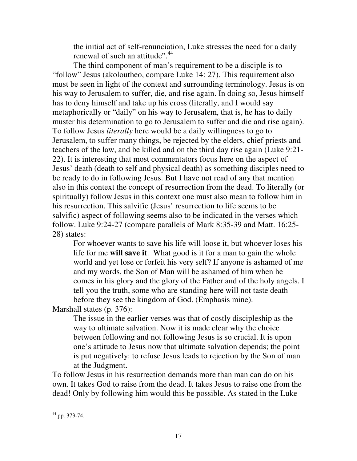the initial act of self-renunciation, Luke stresses the need for a daily renewal of such an attitude".<sup>44</sup>

The third component of man's requirement to be a disciple is to "follow" Jesus (akoloutheo, compare Luke 14: 27). This requirement also must be seen in light of the context and surrounding terminology. Jesus is on his way to Jerusalem to suffer, die, and rise again. In doing so, Jesus himself has to deny himself and take up his cross (literally, and I would say metaphorically or "daily" on his way to Jerusalem, that is, he has to daily muster his determination to go to Jerusalem to suffer and die and rise again). To follow Jesus *literally* here would be a daily willingness to go to Jerusalem, to suffer many things, be rejected by the elders, chief priests and teachers of the law, and be killed and on the third day rise again (Luke 9:21- 22). It is interesting that most commentators focus here on the aspect of Jesus' death (death to self and physical death) as something disciples need to be ready to do in following Jesus. But I have not read of any that mention also in this context the concept of resurrection from the dead. To literally (or spiritually) follow Jesus in this context one must also mean to follow him in his resurrection. This salvific (Jesus' resurrection to life seems to be salvific) aspect of following seems also to be indicated in the verses which follow. Luke 9:24-27 (compare parallels of Mark 8:35-39 and Matt. 16:25- 28) states:

For whoever wants to save his life will loose it, but whoever loses his life for me **will save it**. What good is it for a man to gain the whole world and yet lose or forfeit his very self? If anyone is ashamed of me and my words, the Son of Man will be ashamed of him when he comes in his glory and the glory of the Father and of the holy angels. I tell you the truth, some who are standing here will not taste death before they see the kingdom of God. (Emphasis mine).

Marshall states (p. 376):

The issue in the earlier verses was that of costly discipleship as the way to ultimate salvation. Now it is made clear why the choice between following and not following Jesus is so crucial. It is upon one's attitude to Jesus now that ultimate salvation depends; the point is put negatively: to refuse Jesus leads to rejection by the Son of man at the Judgment.

To follow Jesus in his resurrection demands more than man can do on his own. It takes God to raise from the dead. It takes Jesus to raise one from the dead! Only by following him would this be possible. As stated in the Luke

<sup>44</sup> pp. 373-74.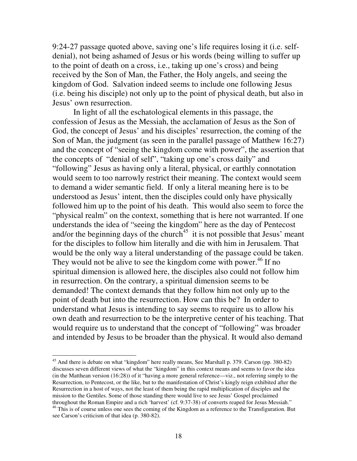9:24-27 passage quoted above, saving one's life requires losing it (i.e. selfdenial), not being ashamed of Jesus or his words (being willing to suffer up to the point of death on a cross, i.e., taking up one's cross) and being received by the Son of Man, the Father, the Holy angels, and seeing the kingdom of God. Salvation indeed seems to include one following Jesus (i.e. being his disciple) not only up to the point of physical death, but also in Jesus' own resurrection.

In light of all the eschatological elements in this passage, the confession of Jesus as the Messiah, the acclamation of Jesus as the Son of God, the concept of Jesus' and his disciples' resurrection, the coming of the Son of Man, the judgment (as seen in the parallel passage of Matthew 16:27) and the concept of "seeing the kingdom come with power", the assertion that the concepts of "denial of self", "taking up one's cross daily" and "following" Jesus as having only a literal, physical, or earthly connotation would seem to too narrowly restrict their meaning. The context would seem to demand a wider semantic field. If only a literal meaning here is to be understood as Jesus' intent, then the disciples could only have physically followed him up to the point of his death. This would also seem to force the "physical realm" on the context, something that is here not warranted. If one understands the idea of "seeing the kingdom" here as the day of Pentecost and/or the beginning days of the church<sup>45</sup> it is not possible that Jesus' meant for the disciples to follow him literally and die with him in Jerusalem. That would be the only way a literal understanding of the passage could be taken. They would not be alive to see the kingdom come with power.<sup>46</sup> If no spiritual dimension is allowed here, the disciples also could not follow him in resurrection. On the contrary, a spiritual dimension seems to be demanded! The context demands that they follow him not only up to the point of death but into the resurrection. How can this be? In order to understand what Jesus is intending to say seems to require us to allow his own death and resurrection to be the interpretive center of his teaching. That would require us to understand that the concept of "following" was broader and intended by Jesus to be broader than the physical. It would also demand

<sup>&</sup>lt;sup>45</sup> And there is debate on what "kingdom" here really means, See Marshall p. 379. Carson (pp. 380-82) discusses seven different views of what the "kingdom" in this context means and seems to favor the idea (in the Matthean version (16:28)) of it "having a more general reference—viz., not referring simply to the Resurrection, to Pentecost, or the like, but to the manifestation of Christ's kingly reign exhibited after the Resurrection in a host of ways, not the least of them being the rapid multiplication of disciples and the mission to the Gentiles. Some of those standing there would live to see Jesus' Gospel proclaimed throughout the Roman Empire and a rich 'harvest' (cf. 9:37-38) of converts reaped for Jesus Messiah."

<sup>&</sup>lt;sup>46</sup> This is of course unless one sees the coming of the Kingdom as a reference to the Transfiguration. But see Carson's criticism of that idea (p. 380-82).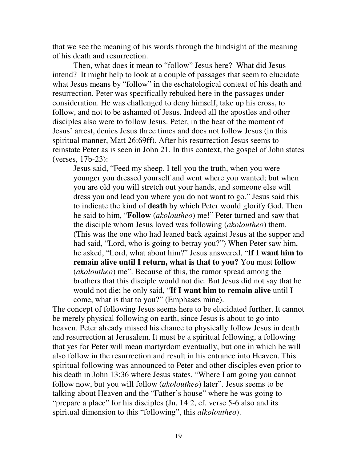that we see the meaning of his words through the hindsight of the meaning of his death and resurrection.

Then, what does it mean to "follow" Jesus here? What did Jesus intend? It might help to look at a couple of passages that seem to elucidate what Jesus means by "follow" in the eschatological context of his death and resurrection. Peter was specifically rebuked here in the passages under consideration. He was challenged to deny himself, take up his cross, to follow, and not to be ashamed of Jesus. Indeed all the apostles and other disciples also were to follow Jesus. Peter, in the heat of the moment of Jesus' arrest, denies Jesus three times and does not follow Jesus (in this spiritual manner, Matt 26:69ff). After his resurrection Jesus seems to reinstate Peter as is seen in John 21. In this context, the gospel of John states (verses, 17b-23):

Jesus said, "Feed my sheep. I tell you the truth, when you were younger you dressed yourself and went where you wanted; but when you are old you will stretch out your hands, and someone else will dress you and lead you where you do not want to go." Jesus said this to indicate the kind of **death** by which Peter would glorify God. Then he said to him, "**Follow** (*akoloutheo*) me!" Peter turned and saw that the disciple whom Jesus loved was following (*akoloutheo*) them. (This was the one who had leaned back against Jesus at the supper and had said, "Lord, who is going to betray you?") When Peter saw him, he asked, "Lord, what about him?" Jesus answered, "**If I want him to remain alive until I return, what is that to you?** You must **follow** (*akoloutheo*) me". Because of this, the rumor spread among the brothers that this disciple would not die. But Jesus did not say that he would not die; he only said, "**If I want him to remain alive** until I come, what is that to you?" (Emphases mine).

The concept of following Jesus seems here to be elucidated further. It cannot be merely physical following on earth, since Jesus is about to go into heaven. Peter already missed his chance to physically follow Jesus in death and resurrection at Jerusalem. It must be a spiritual following, a following that yes for Peter will mean martyrdom eventually, but one in which he will also follow in the resurrection and result in his entrance into Heaven. This spiritual following was announced to Peter and other disciples even prior to his death in John 13:36 where Jesus states, "Where I am going you cannot follow now, but you will follow (*akoloutheo*) later". Jesus seems to be talking about Heaven and the "Father's house" where he was going to "prepare a place" for his disciples (Jn. 14:2, cf. verse 5-6 also and its spiritual dimension to this "following", this *alkoloutheo*).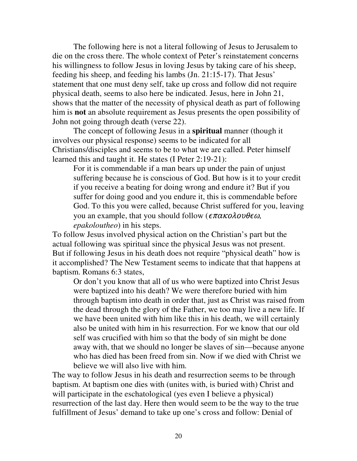The following here is not a literal following of Jesus to Jerusalem to die on the cross there. The whole context of Peter's reinstatement concerns his willingness to follow Jesus in loving Jesus by taking care of his sheep, feeding his sheep, and feeding his lambs (Jn. 21:15-17). That Jesus' statement that one must deny self, take up cross and follow did not require physical death, seems to also here be indicated. Jesus, here in John 21, shows that the matter of the necessity of physical death as part of following him is **not** an absolute requirement as Jesus presents the open possibility of John not going through death (verse 22).

The concept of following Jesus in a **spiritual** manner (though it involves our physical response) seems to be indicated for all Christians/disciples and seems to be to what we are called. Peter himself learned this and taught it. He states (I Peter 2:19-21):

For it is commendable if a man bears up under the pain of unjust suffering because he is conscious of God. But how is it to your credit if you receive a beating for doing wrong and endure it? But if you suffer for doing good and you endure it, this is commendable before God. To this you were called, because Christ suffered for you, leaving you an example, that you should follow ( $\epsilon \pi \alpha \kappa$ o $\lambda$ ov $\theta \epsilon \omega$ , *epakoloutheo*) in his steps.

To follow Jesus involved physical action on the Christian's part but the actual following was spiritual since the physical Jesus was not present. But if following Jesus in his death does not require "physical death" how is it accomplished? The New Testament seems to indicate that that happens at baptism. Romans 6:3 states,

Or don't you know that all of us who were baptized into Christ Jesus were baptized into his death? We were therefore buried with him through baptism into death in order that, just as Christ was raised from the dead through the glory of the Father, we too may live a new life. If we have been united with him like this in his death, we will certainly also be united with him in his resurrection. For we know that our old self was crucified with him so that the body of sin might be done away with, that we should no longer be slaves of sin—because anyone who has died has been freed from sin. Now if we died with Christ we believe we will also live with him.

The way to follow Jesus in his death and resurrection seems to be through baptism. At baptism one dies with (unites with, is buried with) Christ and will participate in the eschatological (yes even I believe a physical) resurrection of the last day. Here then would seem to be the way to the true fulfillment of Jesus' demand to take up one's cross and follow: Denial of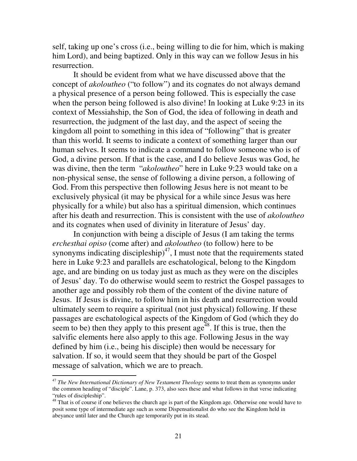self, taking up one's cross (i.e., being willing to die for him, which is making him Lord), and being baptized. Only in this way can we follow Jesus in his resurrection.

It should be evident from what we have discussed above that the concept of *akoloutheo* ("to follow") and its cognates do not always demand a physical presence of a person being followed. This is especially the case when the person being followed is also divine! In looking at Luke 9:23 in its context of Messiahship, the Son of God, the idea of following in death and resurrection, the judgment of the last day, and the aspect of seeing the kingdom all point to something in this idea of "following" that is greater than this world. It seems to indicate a context of something larger than our human selves. It seems to indicate a command to follow someone who is of God, a divine person. If that is the case, and I do believe Jesus was God, he was divine, then the term "*akoloutheo*" here in Luke 9:23 would take on a non-physical sense, the sense of following a divine person, a following of God. From this perspective then following Jesus here is not meant to be exclusively physical (it may be physical for a while since Jesus was here physically for a while) but also has a spiritual dimension, which continues after his death and resurrection. This is consistent with the use of *akoloutheo* and its cognates when used of divinity in literature of Jesus' day.

In conjunction with being a disciple of Jesus (I am taking the terms *erchesthai opiso* (come after) and *akoloutheo* (to follow) here to be synonyms indicating discipleship) $47$ , I must note that the requirements stated here in Luke 9:23 and parallels are eschatological, belong to the Kingdom age, and are binding on us today just as much as they were on the disciples of Jesus' day. To do otherwise would seem to restrict the Gospel passages to another age and possibly rob them of the content of the divine nature of Jesus. If Jesus is divine, to follow him in his death and resurrection would ultimately seem to require a spiritual (not just physical) following. If these passages are eschatological aspects of the Kingdom of God (which they do seem to be) then they apply to this present age<sup> $48$ </sup>. If this is true, then the salvific elements here also apply to this age. Following Jesus in the way defined by him (i.e., being his disciple) then would be necessary for salvation. If so, it would seem that they should be part of the Gospel message of salvation, which we are to preach.

<sup>47</sup> *The New International Dictionary of New Testament Theology* seems to treat them as synonyms under the common heading of "disciple". Lane, p. 373, also sees these and what follows in that verse indicating "rules of discipleship".

 $48$  That is of course if one believes the church age is part of the Kingdom age. Otherwise one would have to posit some type of intermediate age such as some Dispensationalist do who see the Kingdom held in abeyance until later and the Church age temporarily put in its stead.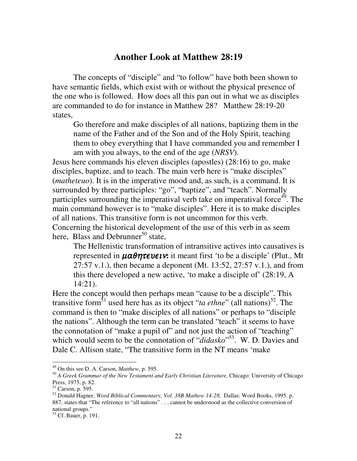# **Another Look at Matthew 28:19**

The concepts of "disciple" and "to follow" have both been shown to have semantic fields, which exist with or without the physical presence of the one who is followed. How does all this pan out in what we as disciples are commanded to do for instance in Matthew 28? Matthew 28:19-20 states,

Go therefore and make disciples of all nations, baptizing them in the name of the Father and of the Son and of the Holy Spirit, teaching them to obey everything that I have commanded you and remember I am with you always, to the end of the age (*NRSV*).

Jesus here commands his eleven disciples (apostles) (28:16) to go, make disciples, baptize, and to teach. The main verb here is "make disciples" (*matheteuo*). It is in the imperative mood and, as such, is a command. It is surrounded by three participles: "go", "baptize", and "teach". Normally participles surrounding the imperatival verb take on imperatival force<sup>49</sup>. The main command however is to "make disciples". Here it is to make disciples of all nations. This transitive form is not uncommon for this verb. Concerning the historical development of the use of this verb in as seem here, Blass and Debrunner<sup>50</sup> state,

The Hellenistic transformation of intransitive actives into causatives is represented in  $\mu\alpha\theta\eta\tau\epsilon\nu\epsilon\nu\mathbf{x}$  it meant first 'to be a disciple' (Plut., Mt 27:57 v.1.), then became a deponent (Mt. 13:52, 27:57 v.1.), and from this there developed a new active, 'to make a disciple of' (28:19, A 14:21).

Here the concept would then perhaps mean "cause to be a disciple". This transitive form<sup>51</sup> used here has as its object "*ta ethne*" (all nations)<sup>52</sup>. The command is then to "make disciples of all nations" or perhaps to "disciple the nations". Although the term can be translated "teach" it seems to have the connotation of "make a pupil of" and not just the action of "teaching" which would seem to be the connotation of "*didasko*"<sup>53</sup>. W. D. Davies and Dale C. Allison state, "The transitive form in the NT means 'make

<sup>49</sup> On this see D. A. Carson, *Matthew*, p. 595.

<sup>50</sup> *A Greek Grammar of the New Testament and Early Christian Literature,* Chicago: University of Chicago Press, 1975, p. 82.

<sup>51</sup> Carson, p. 595.

<sup>52</sup> Donald Hagner, *Word Biblical Commentary, Vol. 38B Mathew 14-28,* Dallas: Word Books, 1995. p. 887, states that "The reference to "all nations" . . . cannot be understood as the collective conversion of national groups."

<sup>53</sup> Cf. Bauer, p. 191.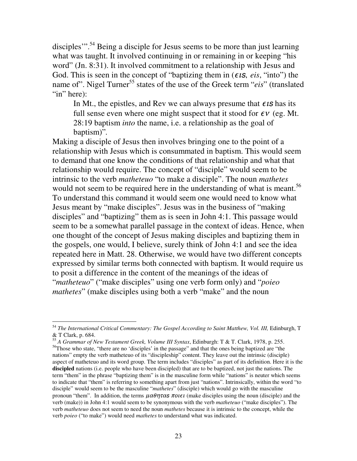disciples"<sup>". 54</sup> Being a disciple for Jesus seems to be more than just learning what was taught. It involved continuing in or remaining in or keeping "his word" (Jn. 8:31). It involved commitment to a relationship with Jesus and God. This is seen in the concept of "baptizing them in  $(\epsilon \textit{is}, \textit{eis}, \text{``into''})$  the name of". Nigel Turner 55 states of the use of the Greek term "*eis*" (translated "in" here):

In Mt., the epistles, and Rev we can always presume that  $\epsilon$ **s** has its full sense even where one might suspect that it stood for  $\epsilon v$  (eg. Mt. 28:19 baptism *into* the name, i.e. a relationship as the goal of baptism)"*.*

Making a disciple of Jesus then involves bringing one to the point of a relationship with Jesus which is consummated in baptism. This would seem to demand that one know the conditions of that relationship and what that relationship would require. The concept of "disciple" would seem to be intrinsic to the verb *matheteuo* "to make a disciple". The noun *mathetes* would not seem to be required here in the understanding of what is meant.<sup>56</sup> To understand this command it would seem one would need to know what Jesus meant by "make disciples". Jesus was in the business of "making disciples" and "baptizing" them as is seen in John 4:1. This passage would seem to be a somewhat parallel passage in the context of ideas. Hence, when one thought of the concept of Jesus making disciples and baptizing them in the gospels, one would, I believe, surely think of John 4:1 and see the idea repeated here in Matt. 28. Otherwise, we would have two different concepts expressed by similar terms both connected with baptism. It would require us to posit a difference in the content of the meanings of the ideas of "*matheteuo*" ("make disciples" using one verb form only) and "*poieo mathetes*" (make disciples using both a verb "make" and the noun

<sup>55</sup> *A Grammar of New Testament Greek, Volume III Syntax*, Edinburgh: T & T. Clark, 1978, p. 255.

<sup>54</sup> *The International Critical Commentary: The Gospel According to Saint Matthew, Vol. III,* Edinburgh, T & T Clark, p. 684.

<sup>&</sup>lt;sup>56</sup>Those who state, "there are no 'disciples' in the passage" and that the ones being baptized are "the nations" empty the verb matheteuo of its "discipleship" content. They leave out the intrinsic (disciple) aspect of matheteuo and its word group. The term includes "disciples" as part of its definition. Here it is the **discipled** nations (i.e. people who have been discipled) that are to be baptized, not just the nations. The term "them" in the phrase "baptizing them" is in the masculine form while "nations" is neuter which seems to indicate that "them" is referring to something apart from just "nations". Intrinsically, within the word "to disciple" would seem to be the masculine "*mathetes*" (disciple) which would go with the masculine pronoun "them". In addition, the terms  $\mu \alpha \theta \eta \tau \alpha s$  *notet* (make disciples using the noun (disciple) and the verb (make)) in John 4:1 would seem to be synonymous with the verb *matheteuo* ("make disciples"). The verb *matheteuo* does not seem to need the noun *mathetes* because it is intrinsic to the concept, while the verb *poieo* ("to make") would need *mathetes* to understand what was indicated.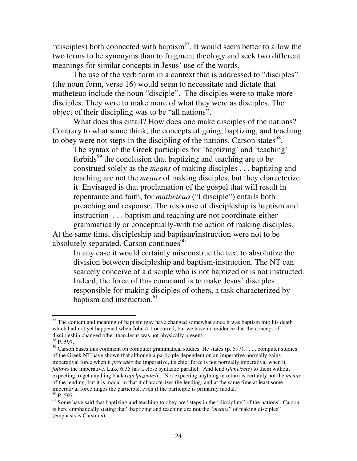"disciples) both connected with baptism<sup>57</sup>. It would seem better to allow the two terms to be synonyms than to fragment theology and seek two different meanings for similar concepts in Jesus' use of the words.

The use of the verb form in a context that is addressed to "disciples" (the noun form, verse 16) would seem to necessitate and dictate that matheteuo include the noun "disciple". The disciples were to make more disciples. They were to make more of what they were as disciples. The object of their discipling was to be "all nations".

What does this entail? How does one make disciples of the nations? Contrary to what some think, the concepts of going, baptizing, and teaching to obey were not steps in the discipling of the nations. Carson states<sup>58</sup>,

The syntax of the Greek participles for 'baptizing' and 'teaching' forbids<sup>59</sup> the conclusion that baptizing and teaching are to be construed solely as the *means* of making disciples . . . baptizing and teaching are not the *means* of making disciples, but they characterize it. Envisaged is that proclamation of the gospel that will result in repentance and faith, for *matheteuo* ("I disciple") entails both preaching and response. The response of discipleship is baptism and instruction . . . baptism and teaching are not coordinate-either grammatically or conceptually-with the action of making disciples. At the same time, discipleship and baptism/instruction were not to be

absolutely separated. Carson continues<sup>60</sup>

In any case it would certainly misconstrue the text to absolutize the division between discipleship and baptism-instruction. The NT can scarcely conceive of a disciple who is not baptized or is not instructed. Indeed, the force of this command is to make Jesus' disciples responsible for making disciples of others, a task characterized by baptism and instruction. 61

 $57$  The content and meaning of baptism may have changed somewhat since it was baptism into his death which had not yet happened when John 4:1 occurred, but we have no evidence that the concept of discipleship changed other than Jesus was not physically present

<sup>58</sup> P. 597.

 $59$  Carson bases this comment on computer grammatical studies. He states (p. 597), "... computer studies of the Greek NT have shown that although a participle dependent on an imperative normally gains imperatival force when it *precedes* the imperative, its chief force is not normally imperatival when it *follows* the imperative. Luke 6:35 has a close syntactic parallel: 'And lend (*daneizete*) to them without expecting to get anything back (*apelpizontes*)'. Not expecting anything in return is certainly not the *means* of the lending, but it is modal in that it characterizes the lending; and at the same time at least some imperatival force tinges the participle, even if the participle is primarily modal."  $60\,\overline{P}$ . 597.

<sup>&</sup>lt;sup>61</sup> Some have said that baptizing and teaching to obey are "steps in the "discipling" of the nations'. Carson is here emphatically stating that" baptizing and teaching are **not** the "*means"* of making disciples" (emphasis is Carson's).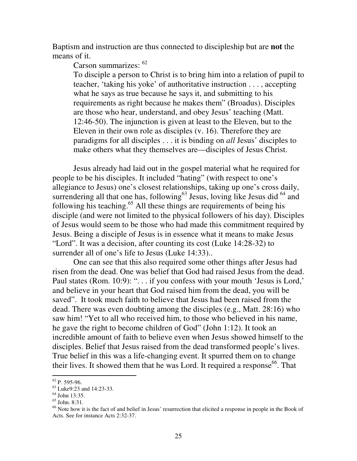Baptism and instruction are thus connected to discipleship but are **not** the means of it.

Carson summarizes: <sup>62</sup>

To disciple a person to Christ is to bring him into a relation of pupil to teacher, 'taking his yoke' of authoritative instruction . . . , accepting what he says as true because he says it, and submitting to his requirements as right because he makes them" (Broadus). Disciples are those who hear, understand, and obey Jesus' teaching (Matt. 12:46-50). The injunction is given at least to the Eleven, but to the Eleven in their own role as disciples (v. 16). Therefore they are paradigms for all disciples . . . it is binding on *all* Jesus' disciples to make others what they themselves are—disciples of Jesus Christ.

Jesus already had laid out in the gospel material what he required for people to be his disciples. It included "hating" (with respect to one's allegiance to Jesus) one's closest relationships, taking up one's cross daily, surrendering all that one has, following<sup>63</sup> Jesus, loving like Jesus did  $64$  and following his teaching.<sup>65</sup> All these things are requirements of being his disciple (and were not limited to the physical followers of his day). Disciples of Jesus would seem to be those who had made this commitment required by Jesus. Being a disciple of Jesus is in essence what it means to make Jesus "Lord". It was a decision, after counting its cost (Luke 14:28-32) to surrender all of one's life to Jesus (Luke 14:33)..

One can see that this also required some other things after Jesus had risen from the dead. One was belief that God had raised Jesus from the dead. Paul states (Rom. 10:9): ". . . if you confess with your mouth 'Jesus is Lord,' and believe in your heart that God raised him from the dead, you will be saved". It took much faith to believe that Jesus had been raised from the dead. There was even doubting among the disciples (e.g., Matt. 28:16) who saw him! "Yet to all who received him, to those who believed in his name, he gave the right to become children of God" (John 1:12). It took an incredible amount of faith to believe even when Jesus showed himself to the disciples. Belief that Jesus raised from the dead transformed people's lives. True belief in this was a life-changing event. It spurred them on to change their lives. It showed them that he was Lord. It required a response<sup>66</sup>. That

<sup>62</sup> P. 595-96.

<sup>63</sup> Luke9:23 and 14:23-33.

<sup>64</sup> John 13:35.

<sup>65</sup> John. 8:31.

<sup>&</sup>lt;sup>66</sup> Note how it is the fact of and belief in Jesus' resurrection that elicited a response in people in the Book of Acts. See for instance Acts 2:32-37.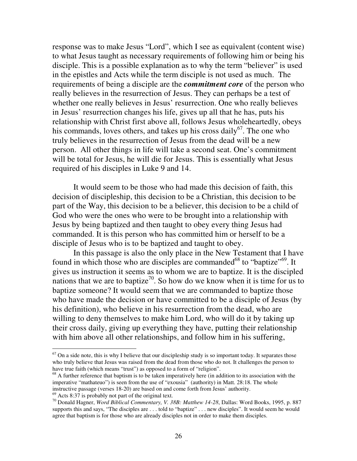response was to make Jesus "Lord", which I see as equivalent (content wise) to what Jesus taught as necessary requirements of following him or being his disciple. This is a possible explanation as to why the term "believer" is used in the epistles and Acts while the term disciple is not used as much. The requirements of being a disciple are the *commitment core* of the person who really believes in the resurrection of Jesus. They can perhaps be a test of whether one really believes in Jesus' resurrection. One who really believes in Jesus' resurrection changes his life, gives up all that he has, puts his relationship with Christ first above all, follows Jesus wholeheartedly, obeys his commands, loves others, and takes up his cross daily<sup>67</sup>. The one who truly believes in the resurrection of Jesus from the dead will be a new person. All other things in life will take a second seat. One's commitment will be total for Jesus, he will die for Jesus. This is essentially what Jesus required of his disciples in Luke 9 and 14.

It would seem to be those who had made this decision of faith, this decision of discipleship, this decision to be a Christian, this decision to be part of the Way, this decision to be a believer, this decision to be a child of God who were the ones who were to be brought into a relationship with Jesus by being baptized and then taught to obey every thing Jesus had commanded. It is this person who has committed him or herself to be a disciple of Jesus who is to be baptized and taught to obey.

In this passage is also the only place in the New Testament that I have found in which those who are disciples are commanded<sup>68</sup> to "baptize"<sup>69</sup>. It gives us instruction it seems as to whom we are to baptize. It is the discipled nations that we are to baptize<sup>70</sup>. So how do we know when it is time for us to baptize someone? It would seem that we are commanded to baptize those who have made the decision or have committed to be a disciple of Jesus (by his definition), who believe in his resurrection from the dead, who are willing to deny themselves to make him Lord, who will do it by taking up their cross daily, giving up everything they have, putting their relationship with him above all other relationships, and follow him in his suffering,

 $67$  On a side note, this is why I believe that our discipleship study is so important today. It separates those who truly believe that Jesus was raised from the dead from those who do not. It challenges the person to have true faith (which means "trust") as opposed to a form of "religion".

 $68$  A further reference that baptism is to be taken imperatively here (in addition to its association with the imperative "mathateuo") is seen from the use of "exousia" (authority) in Matt. 28:18. The whole instructive passage (verses 18-20) are based on and come forth from Jesus' authority.

 $69$  Acts 8:37 is probably not part of the original text.

<sup>70</sup> Donald Hagner, *Word Biblical Commentary, V. 38B: Matthew 14-28*, Dallas: Word Books, 1995, p. 887 supports this and says, "The disciples are . . . told to "baptize" . . . new disciples". It would seem he would agree that baptism is for those who are already disciples not in order to make them disciples.